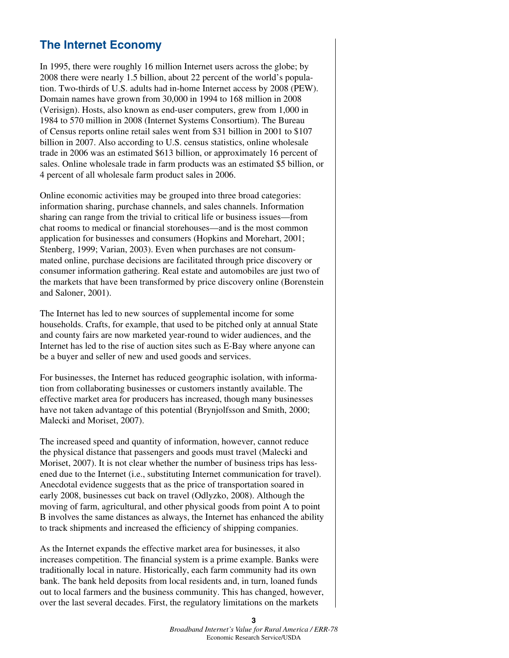## **The Internet Economy**

In 1995, there were roughly 16 million Internet users across the globe; by 2008 there were nearly 1.5 billion, about 22 percent of the world's population. Two-thirds of U.S. adults had in-home Internet access by 2008 (PEW). Domain names have grown from 30,000 in 1994 to 168 million in 2008 (Verisign). Hosts, also known as end-user computers, grew from 1,000 in 1984 to 570 million in 2008 (Internet Systems Consortium). The Bureau of Census reports online retail sales went from \$31 billion in 2001 to \$107 billion in 2007. Also according to U.S. census statistics, online wholesale trade in 2006 was an estimated \$613 billion, or approximately 16 percent of sales. Online wholesale trade in farm products was an estimated \$5 billion, or 4 percent of all wholesale farm product sales in 2006.

Online economic activities may be grouped into three broad categories: information sharing, purchase channels, and sales channels. Information sharing can range from the trivial to critical life or business issues—from chat rooms to medical or financial storehouses—and is the most common application for businesses and consumers (Hopkins and Morehart, 2001; Stenberg, 1999; Varian, 2003). Even when purchases are not consummated online, purchase decisions are facilitated through price discovery or consumer information gathering. Real estate and automobiles are just two of the markets that have been transformed by price discovery online (Borenstein and Saloner, 2001).

The Internet has led to new sources of supplemental income for some households. Crafts, for example, that used to be pitched only at annual State and county fairs are now marketed year-round to wider audiences, and the Internet has led to the rise of auction sites such as E-Bay where anyone can be a buyer and seller of new and used goods and services.

For businesses, the Internet has reduced geographic isolation, with information from collaborating businesses or customers instantly available. The effective market area for producers has increased, though many businesses have not taken advantage of this potential (Brynjolfsson and Smith, 2000; Malecki and Moriset, 2007).

The increased speed and quantity of information, however, cannot reduce the physical distance that passengers and goods must travel (Malecki and Moriset, 2007). It is not clear whether the number of business trips has lessened due to the Internet (i.e., substituting Internet communication for travel). Anecdotal evidence suggests that as the price of transportation soared in early 2008, businesses cut back on travel (Odlyzko, 2008). Although the moving of farm, agricultural, and other physical goods from point A to point B involves the same distances as always, the Internet has enhanced the ability to track shipments and increased the efficiency of shipping companies.

As the Internet expands the effective market area for businesses, it also increases competition. The financial system is a prime example. Banks were traditionally local in nature. Historically, each farm community had its own bank. The bank held deposits from local residents and, in turn, loaned funds out to local farmers and the business community. This has changed, however, over the last several decades. First, the regulatory limitations on the markets

> **3**  *Broadband Internet's Value for Rural America / ERR-78* Economic Research Service/USDA